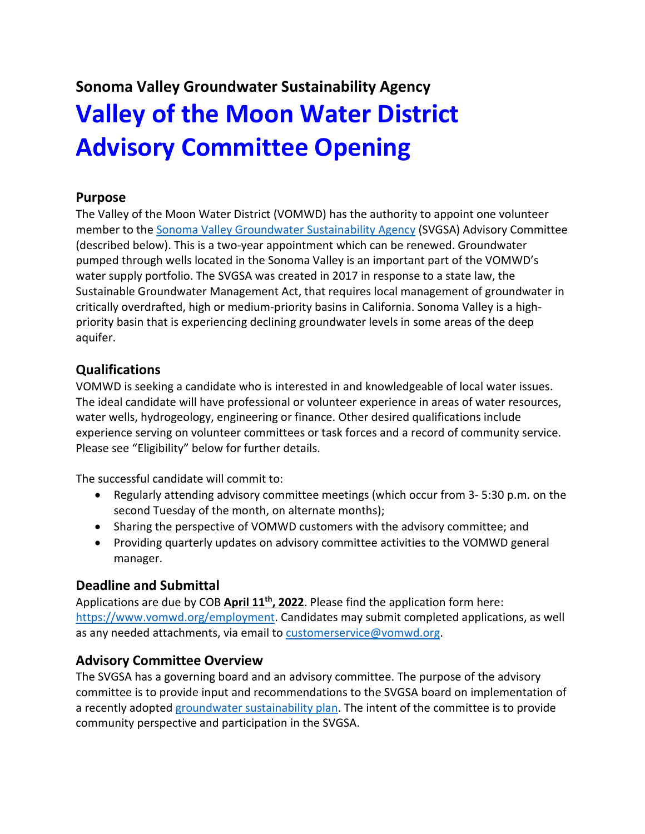# **Sonoma Valley Groundwater Sustainability Agency Valley of the Moon Water District Advisory Committee Opening**

## **Purpose**

The Valley of the Moon Water District (VOMWD) has the authority to appoint one volunteer member to the Sonoma Valley [Groundwater Sustainability Agency](https://sonomavalleygroundwater.org/) (SVGSA) Advisory Committee (described below). This is a two-year appointment which can be renewed. Groundwater pumped through wells located in the Sonoma Valley is an important part of the VOMWD's water supply portfolio. The SVGSA was created in 2017 in response to a state law, the Sustainable Groundwater Management Act, that requires local management of groundwater in critically overdrafted, high or medium-priority basins in California. Sonoma Valley is a highpriority basin that is experiencing declining groundwater levels in some areas of the deep aquifer.

# **Qualifications**

VOMWD is seeking a candidate who is interested in and knowledgeable of local water issues. The ideal candidate will have professional or volunteer experience in areas of water resources, water wells, hydrogeology, engineering or finance. Other desired qualifications include experience serving on volunteer committees or task forces and a record of community service. Please see "Eligibility" below for further details.

The successful candidate will commit to:

- Regularly attending advisory committee meetings (which occur from 3- 5:30 p.m. on the second Tuesday of the month, on alternate months);
- Sharing the perspective of VOMWD customers with the advisory committee; and
- Providing quarterly updates on advisory committee activities to the VOMWD general manager.

## **Deadline and Submittal**

Applications are due by COB **April 11th, 2022**. Please find the application form here: [https://www.vomwd.org/employment.](https://www.vomwd.org/employment) Candidates may submit completed applications, as well as any needed attachments, via email to [customerservice@vomwd.org.](mailto:customerservice@vomwd.org)

## **Advisory Committee Overview**

The SVGSA has a governing board and an advisory committee. The purpose of the advisory committee is to provide input and recommendations to the SVGSA board on implementation of a recently adopted [groundwater sustainability plan.](https://sonomavalleygroundwater.org/gsp/) The intent of the committee is to provide community perspective and participation in the SVGSA.